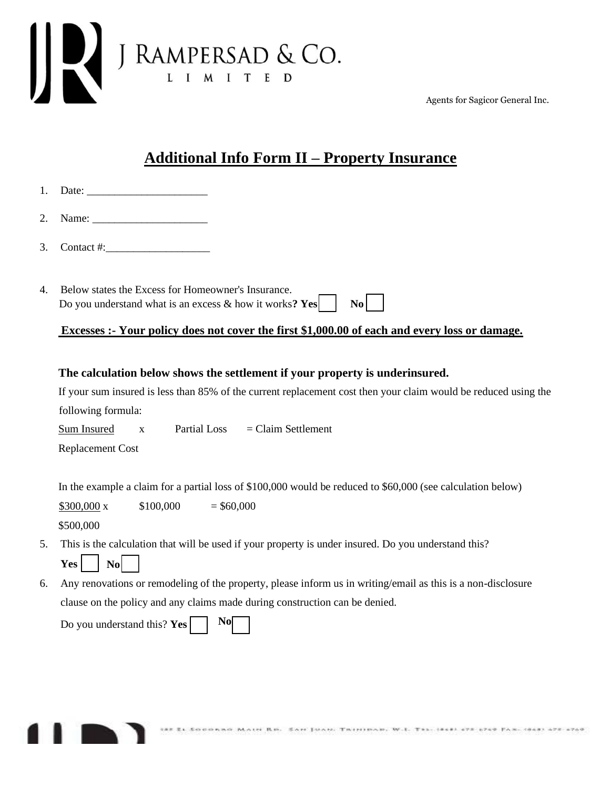

Agents for Sagicor General Inc.

## **Additional Info Form II – Property Insurance**

| 3. | Contact #: $\qquad \qquad$                                                                                                                 |
|----|--------------------------------------------------------------------------------------------------------------------------------------------|
|    |                                                                                                                                            |
| 4. | Below states the Excess for Homeowner's Insurance.<br>Do you understand what is an excess $\&$ how it works? Yes $\vert$<br>$\mathbf{N_0}$ |
|    | Excesses :- Your policy does not cover the first \$1,000.00 of each and every loss or damage.                                              |

## **The calculation below shows the settlement if your property is underinsured.**

If your sum insured is less than 85% of the current replacement cost then your claim would be reduced using the following formula:

Sum Insured  $x$  Partial Loss = Claim Settlement

Replacement Cost

In the example a claim for a partial loss of \$100,000 would be reduced to \$60,000 (see calculation below)

 $$300,000 \text{ x} = $100,000 = $60,000$ \$500,000

- 5. This is the calculation that will be used if your property is under insured. Do you understand this? **Yes No**
- 6. Any renovations or remodeling of the property, please inform us in writing/email as this is a non-disclosure clause on the policy and any claims made during construction can be denied.

| Do you understand this? $Yes \fbox{ s}$ |  |  |
|-----------------------------------------|--|--|
|-----------------------------------------|--|--|